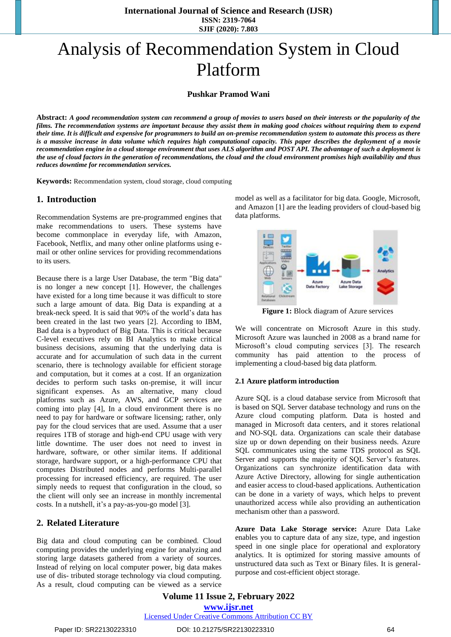# Analysis of Recommendation System in Cloud Platform

#### **Pushkar Pramod Wani**

**Abstract:** *A good recommendation system can recommend a group of movies to users based on their interests or the popularity of the films. The recommendation systems are important because they assist them in making good choices without requiring them to expend their time. It is difficult and expensive for programmers to build an on-premise recommendation system to automate this process as there is a massive increase in data volume which requires high computational capacity. This paper describes the deployment of a movie recommendation engine in a cloud storage environment that uses ALS algorithm and POST API. The advantage of such a deployment is the use of cloud factors in the generation of recommendations, the cloud and the cloud environment promises high availability and thus reduces downtime for recommendation services.*

**Keywords:** Recommendation system, cloud storage, cloud computing

### **1. Introduction**

Recommendation Systems are pre-programmed engines that make recommendations to users. These systems have become commonplace in everyday life, with Amazon, Facebook, Netflix, and many other online platforms using email or other online services for providing recommendations to its users.

Because there is a large User Database, the term "Big data" is no longer a new concept [1]. However, the challenges have existed for a long time because it was difficult to store such a large amount of data. Big Data is expanding at a break-neck speed. It is said that 90% of the world's data has been created in the last two years [2]. According to IBM, Bad data is a byproduct of Big Data. This is critical because C-level executives rely on BI Analytics to make critical business decisions, assuming that the underlying data is accurate and for accumulation of such data in the current scenario, there is technology available for efficient storage and computation, but it comes at a cost. If an organization decides to perform such tasks on-premise, it will incur significant expenses. As an alternative, many cloud platforms such as Azure, AWS, and GCP services are coming into play [4], In a cloud environment there is no need to pay for hardware or software licensing; rather, only pay for the cloud services that are used. Assume that a user requires 1TB of storage and high-end CPU usage with very little downtime. The user does not need to invest in hardware, software, or other similar items. If additional storage, hardware support, or a high-performance CPU that computes Distributed nodes and performs Multi-parallel processing for increased efficiency, are required. The user simply needs to request that configuration in the cloud, so the client will only see an increase in monthly incremental costs. In a nutshell, it's a pay-as-you-go model [3].

## **2. Related Literature**

Big data and cloud computing can be combined. Cloud computing provides the underlying engine for analyzing and storing large datasets gathered from a variety of sources. Instead of relying on local computer power, big data makes use of dis- tributed storage technology via cloud computing. As a result, cloud computing can be viewed as a service model as well as a facilitator for big data. Google, Microsoft, and Amazon [1] are the leading providers of cloud-based big data platforms.



**Figure 1:** Block diagram of Azure services

We will concentrate on Microsoft Azure in this study. Microsoft Azure was launched in 2008 as a brand name for Microsoft's cloud computing services [3]. The research community has paid attention to the process of implementing a cloud-based big data platform.

#### **2.1 Azure platform introduction**

Azure SQL is a cloud database service from Microsoft that is based on SQL Server database technology and runs on the Azure cloud computing platform. Data is hosted and managed in Microsoft data centers, and it stores relational and NO-SQL data. Organizations can scale their database size up or down depending on their business needs. Azure SQL communicates using the same TDS protocol as SQL Server and supports the majority of SQL Server's features. Organizations can synchronize identification data with Azure Active Directory, allowing for single authentication and easier access to cloud-based applications. Authentication can be done in a variety of ways, which helps to prevent unauthorized access while also providing an authentication mechanism other than a password.

**Azure Data Lake Storage service:** Azure Data Lake enables you to capture data of any size, type, and ingestion speed in one single place for operational and exploratory analytics. It is optimized for storing massive amounts of unstructured data such as Text or Binary files. It is generalpurpose and cost-efficient object storage.

**Volume 11 Issue 2, February 2022 www.ijsr.net** Licensed Under Creative Commons Attribution CC BY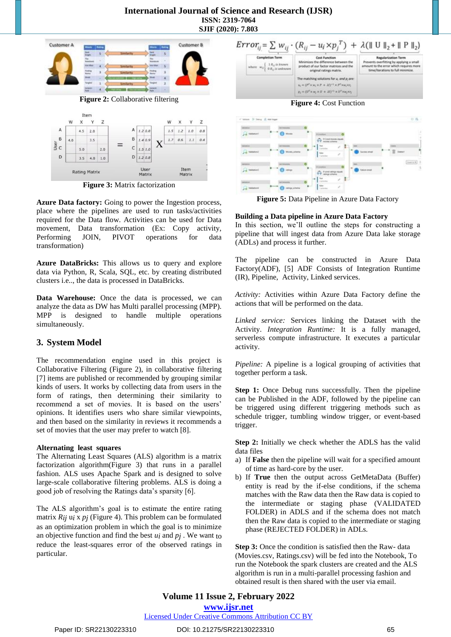

**Figure 3:** Matrix factorization

**Azure Data factory:** Going to power the Ingestion process, place where the pipelines are used to run tasks/activities required for the Data flow. Activities can be used for Data movement, Data transformation (Ex: Copy activity, Performing JOIN, PIVOT operations for data transformation)

**Azure DataBricks:** This allows us to query and explore data via Python, R, Scala, SQL, etc. by creating distributed clusters i.e.., the data is processed in DataBricks.

**Data Warehouse:** Once the data is processed, we can analyze the data as DW has Multi parallel processing (MPP). MPP is designed to handle multiple operations simultaneously.

## **3. System Model**

The recommendation engine used in this project is Collaborative Filtering (Figure 2), in collaborative filtering [7] items are published or recommended by grouping similar kinds of users. It works by collecting data from users in the form of ratings, then determining their similarity to recommend a set of movies. It is based on the users' opinions. It identifies users who share similar viewpoints, and then based on the similarity in reviews it recommends a set of movies that the user may prefer to watch [8].

#### **Alternating least squares**

The Alternating Least Squares (ALS) algorithm is a matrix factorization algorithm(Figure 3) that runs in a parallel fashion. ALS uses Apache Spark and is designed to solve large-scale collaborative filtering problems. ALS is doing a good job of resolving the Ratings data's sparsity [6].

The ALS algorithm's goal is to estimate the entire rating matrix *Rij* u*i* x *pj* (Figure 4). This problem can be formulated as an optimization problem in which the goal is to minimize an objective function and find the best *ui* and *pj* . We want to reduce the least-squares error of the observed ratings in particular.





**Figure 5:** Data Pipeline in Azure Data Factory

#### **Building a Data pipeline in Azure Data Factory**

In this section, we'll outline the steps for constructing a pipeline that will ingest data from Azure Data lake storage (ADLs) and process it further.

The pipeline can be constructed in Azure Data Factory(ADF), [5] ADF Consists of Integration Runtime (IR), Pipeline, Activity, Linked services.

*Activity:* Activities within Azure Data Factory define the actions that will be performed on the data.

*Linked service:* Services linking the Dataset with the Activity. *Integration Runtime:* It is a fully managed, serverless compute infrastructure. It executes a particular activity.

*Pipeline:* A pipeline is a logical grouping of activities that together perform a task.

**Step 1:** Once Debug runs successfully. Then the pipeline can be Published in the ADF, followed by the pipeline can be triggered using different triggering methods such as schedule trigger, tumbling window trigger, or event-based trigger.

**Step 2:** Initially we check whether the ADLS has the valid data files

- a) If **False** then the pipeline will wait for a specified amount of time as hard-core by the user.
- b) If **True** then the output across GetMetaData (Buffer) entity is read by the if-else conditions, if the schema matches with the Raw data then the Raw data is copied to the intermediate or staging phase (VALIDATED FOLDER) in ADLS and if the schema does not match then the Raw data is copied to the intermediate or staging phase (REJECTED FOLDER) in ADLs.

**Step 3:** Once the condition is satisfied then the Raw- data (Movies.csv, Ratings.csv) will be fed into the Notebook, To run the Notebook the spark clusters are created and the ALS algorithm is run in a multi-parallel processing fashion and obtained result is then shared with the user via email.

Licensed Under Creative Commons Attribution CC BY